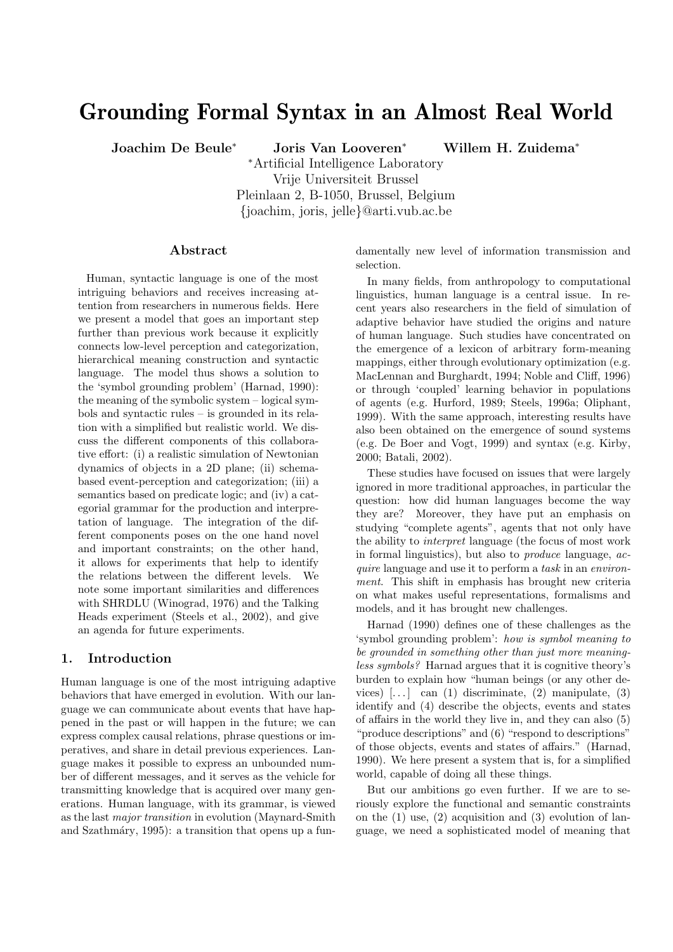# Grounding Formal Syntax in an Almost Real World

Joachim De Beule<sup>∗</sup> Joris Van Looveren<sup>∗</sup> Willem H. Zuidema<sup>∗</sup>

<sup>∗</sup>Artificial Intelligence Laboratory Vrije Universiteit Brussel Pleinlaan 2, B-1050, Brussel, Belgium {joachim, joris, jelle}@arti.vub.ac.be

#### Abstract

Human, syntactic language is one of the most intriguing behaviors and receives increasing attention from researchers in numerous fields. Here we present a model that goes an important step further than previous work because it explicitly connects low-level perception and categorization, hierarchical meaning construction and syntactic language. The model thus shows a solution to the 'symbol grounding problem' (Harnad, 1990): the meaning of the symbolic system – logical symbols and syntactic rules – is grounded in its relation with a simplified but realistic world. We discuss the different components of this collaborative effort: (i) a realistic simulation of Newtonian dynamics of objects in a 2D plane; (ii) schemabased event-perception and categorization; (iii) a semantics based on predicate logic; and (iv) a categorial grammar for the production and interpretation of language. The integration of the different components poses on the one hand novel and important constraints; on the other hand, it allows for experiments that help to identify the relations between the different levels. We note some important similarities and differences with SHRDLU (Winograd, 1976) and the Talking Heads experiment (Steels et al., 2002), and give an agenda for future experiments.

# 1. Introduction

Human language is one of the most intriguing adaptive behaviors that have emerged in evolution. With our language we can communicate about events that have happened in the past or will happen in the future; we can express complex causal relations, phrase questions or imperatives, and share in detail previous experiences. Language makes it possible to express an unbounded number of different messages, and it serves as the vehicle for transmitting knowledge that is acquired over many generations. Human language, with its grammar, is viewed as the last major transition in evolution (Maynard-Smith and Szathmáry, 1995): a transition that opens up a fundamentally new level of information transmission and selection.

In many fields, from anthropology to computational linguistics, human language is a central issue. In recent years also researchers in the field of simulation of adaptive behavior have studied the origins and nature of human language. Such studies have concentrated on the emergence of a lexicon of arbitrary form-meaning mappings, either through evolutionary optimization (e.g. MacLennan and Burghardt, 1994; Noble and Cliff, 1996) or through 'coupled' learning behavior in populations of agents (e.g. Hurford, 1989; Steels, 1996a; Oliphant, 1999). With the same approach, interesting results have also been obtained on the emergence of sound systems (e.g. De Boer and Vogt, 1999) and syntax (e.g. Kirby, 2000; Batali, 2002).

These studies have focused on issues that were largely ignored in more traditional approaches, in particular the question: how did human languages become the way they are? Moreover, they have put an emphasis on studying "complete agents", agents that not only have the ability to interpret language (the focus of most work in formal linguistics), but also to produce language, acquire language and use it to perform a task in an environment. This shift in emphasis has brought new criteria on what makes useful representations, formalisms and models, and it has brought new challenges.

Harnad (1990) defines one of these challenges as the 'symbol grounding problem': how is symbol meaning to be grounded in something other than just more meaningless symbols? Harnad argues that it is cognitive theory's burden to explain how "human beings (or any other devices)  $\left[ \ldots \right]$  can (1) discriminate, (2) manipulate, (3) identify and (4) describe the objects, events and states of affairs in the world they live in, and they can also (5) "produce descriptions" and (6) "respond to descriptions" of those objects, events and states of affairs." (Harnad, 1990). We here present a system that is, for a simplified world, capable of doing all these things.

But our ambitions go even further. If we are to seriously explore the functional and semantic constraints on the  $(1)$  use,  $(2)$  acquisition and  $(3)$  evolution of language, we need a sophisticated model of meaning that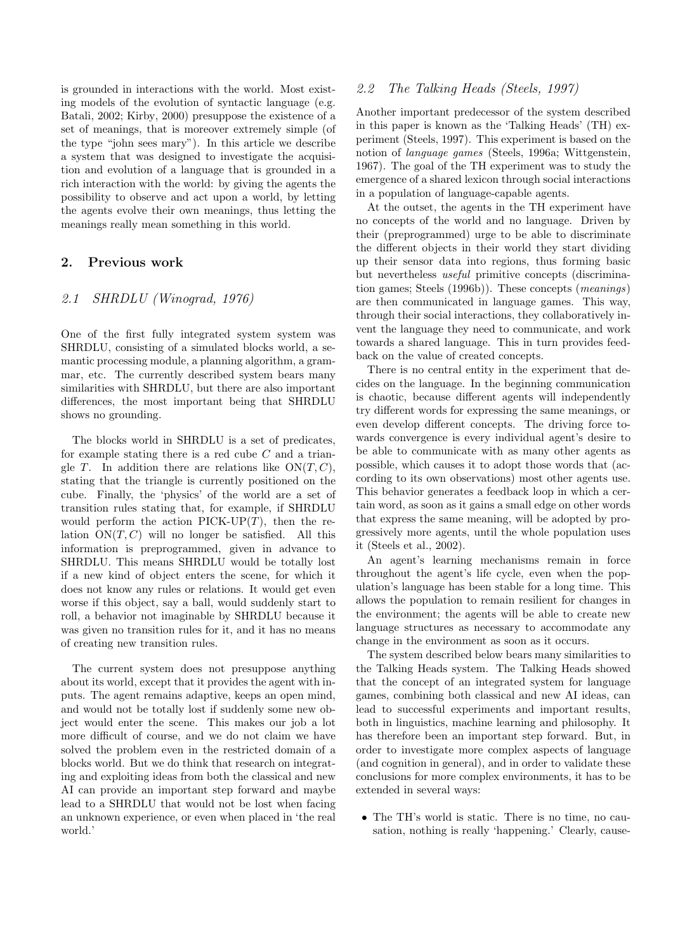is grounded in interactions with the world. Most existing models of the evolution of syntactic language (e.g. Batali, 2002; Kirby, 2000) presuppose the existence of a set of meanings, that is moreover extremely simple (of the type "john sees mary"). In this article we describe a system that was designed to investigate the acquisition and evolution of a language that is grounded in a rich interaction with the world: by giving the agents the possibility to observe and act upon a world, by letting the agents evolve their own meanings, thus letting the meanings really mean something in this world.

# 2. Previous work

## 2.1 SHRDLU (Winograd, 1976)

One of the first fully integrated system system was SHRDLU, consisting of a simulated blocks world, a semantic processing module, a planning algorithm, a grammar, etc. The currently described system bears many similarities with SHRDLU, but there are also important differences, the most important being that SHRDLU shows no grounding.

The blocks world in SHRDLU is a set of predicates, for example stating there is a red cube  $C$  and a triangle T. In addition there are relations like  $ON(T, C)$ , stating that the triangle is currently positioned on the cube. Finally, the 'physics' of the world are a set of transition rules stating that, for example, if SHRDLU would perform the action  $\text{PICK-UP}(T)$ , then the relation  $ON(T, C)$  will no longer be satisfied. All this information is preprogrammed, given in advance to SHRDLU. This means SHRDLU would be totally lost if a new kind of object enters the scene, for which it does not know any rules or relations. It would get even worse if this object, say a ball, would suddenly start to roll, a behavior not imaginable by SHRDLU because it was given no transition rules for it, and it has no means of creating new transition rules.

The current system does not presuppose anything about its world, except that it provides the agent with inputs. The agent remains adaptive, keeps an open mind, and would not be totally lost if suddenly some new object would enter the scene. This makes our job a lot more difficult of course, and we do not claim we have solved the problem even in the restricted domain of a blocks world. But we do think that research on integrating and exploiting ideas from both the classical and new AI can provide an important step forward and maybe lead to a SHRDLU that would not be lost when facing an unknown experience, or even when placed in 'the real world.'

# 2.2 The Talking Heads (Steels, 1997)

Another important predecessor of the system described in this paper is known as the 'Talking Heads' (TH) experiment (Steels, 1997). This experiment is based on the notion of language games (Steels, 1996a; Wittgenstein, 1967). The goal of the TH experiment was to study the emergence of a shared lexicon through social interactions in a population of language-capable agents.

At the outset, the agents in the TH experiment have no concepts of the world and no language. Driven by their (preprogrammed) urge to be able to discriminate the different objects in their world they start dividing up their sensor data into regions, thus forming basic but nevertheless *useful* primitive concepts (discrimination games; Steels (1996b)). These concepts (meanings) are then communicated in language games. This way, through their social interactions, they collaboratively invent the language they need to communicate, and work towards a shared language. This in turn provides feedback on the value of created concepts.

There is no central entity in the experiment that decides on the language. In the beginning communication is chaotic, because different agents will independently try different words for expressing the same meanings, or even develop different concepts. The driving force towards convergence is every individual agent's desire to be able to communicate with as many other agents as possible, which causes it to adopt those words that (according to its own observations) most other agents use. This behavior generates a feedback loop in which a certain word, as soon as it gains a small edge on other words that express the same meaning, will be adopted by progressively more agents, until the whole population uses it (Steels et al., 2002).

An agent's learning mechanisms remain in force throughout the agent's life cycle, even when the population's language has been stable for a long time. This allows the population to remain resilient for changes in the environment; the agents will be able to create new language structures as necessary to accommodate any change in the environment as soon as it occurs.

The system described below bears many similarities to the Talking Heads system. The Talking Heads showed that the concept of an integrated system for language games, combining both classical and new AI ideas, can lead to successful experiments and important results, both in linguistics, machine learning and philosophy. It has therefore been an important step forward. But, in order to investigate more complex aspects of language (and cognition in general), and in order to validate these conclusions for more complex environments, it has to be extended in several ways:

• The TH's world is static. There is no time, no causation, nothing is really 'happening.' Clearly, cause-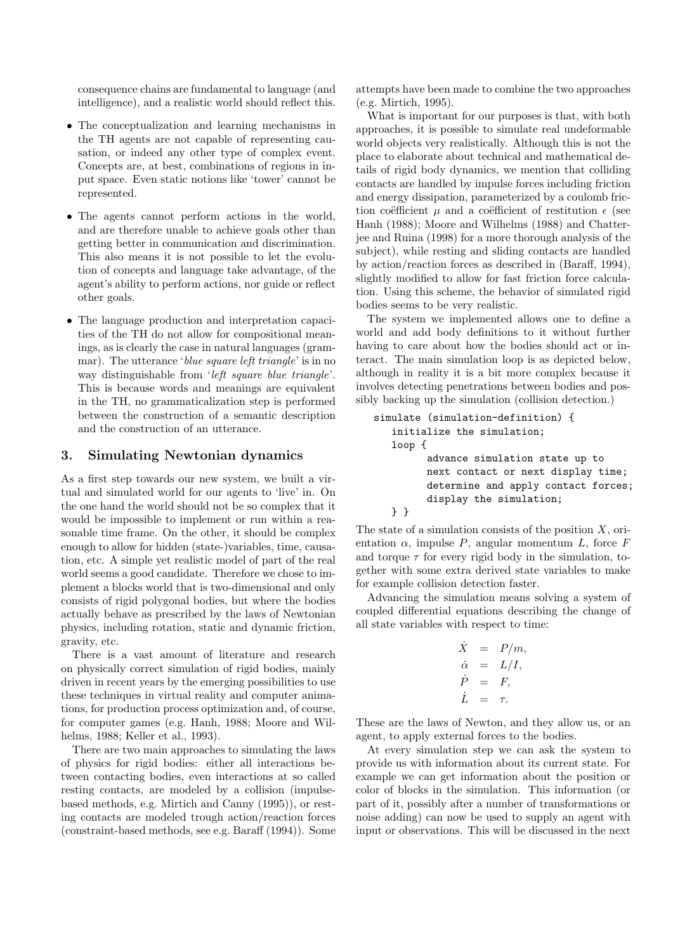consequence chains are fundamental to language (and intelligence), and a realistic world should reflect this.

- The conceptualization and learning mechanisms in the TH agents are not capable of representing causation, or indeed any other type of complex event. Concepts are, at best, combinations of regions in input space. Even static notions like 'tower' cannot be represented.
- The agents cannot perform actions in the world, and are therefore unable to achieve goals other than getting better in communication and discrimination. This also means it is not possible to let the evolution of concepts and language take advantage, of the agent's ability to perform actions, nor guide or reflect other goals.
- The language production and interpretation capacities of the TH do not allow for compositional meanings, as is clearly the case in natural languages (grammar). The utterance '*blue square left triangle*' is in no way distinguishable from 'left square blue triangle'. This is because words and meanings are equivalent in the TH, no grammaticalization step is performed between the construction of a semantic description and the construction of an utterance.

#### 3. Simulating Newtonian dynamics

As a first step towards our new system, we built a virtual and simulated world for our agents to 'live' in. On the one hand the world should not be so complex that it would be impossible to implement or run within a reasonable time frame. On the other, it should be complex enough to allow for hidden (state-)variables, time, causation, etc. A simple yet realistic model of part of the real world seems a good candidate. Therefore we chose to implement a blocks world that is two-dimensional and only consists of rigid polygonal bodies, but where the bodies actually behave as prescribed by the laws of Newtonian physics, including rotation, static and dynamic friction, gravity, etc.

There is a vast amount of literature and research on physically correct simulation of rigid bodies, mainly driven in recent years by the emerging possibilities to use these techniques in virtual reality and computer animations, for production process optimization and, of course, for computer games (e.g. Hanh, 1988; Moore and Wilhelms, 1988; Keller et al., 1993).

There are two main approaches to simulating the laws of physics for rigid bodies: either all interactions between contacting bodies, even interactions at so called resting contacts, are modeled by a collision (impulsebased methods, e.g. Mirtich and Canny (1995)), or resting contacts are modeled trough action/reaction forces (constraint-based methods, see e.g. Baraff (1994)). Some attempts have been made to combine the two approaches (e.g. Mirtich, 1995).

What is important for our purposes is that, with both approaches, it is possible to simulate real undeformable world objects very realistically. Although this is not the place to elaborate about technical and mathematical details of rigid body dynamics, we mention that colliding contacts are handled by impulse forces including friction and energy dissipation, parameterized by a coulomb friction coëfficient  $\mu$  and a coëfficient of restitution  $\epsilon$  (see Hanh (1988); Moore and Wilhelms (1988) and Chatterjee and Ruina (1998) for a more thorough analysis of the subject), while resting and sliding contacts are handled by action/reaction forces as described in (Baraff, 1994), slightly modified to allow for fast friction force calculation. Using this scheme, the behavior of simulated rigid bodies seems to be very realistic.

The system we implemented allows one to define a world and add body definitions to it without further having to care about how the bodies should act or interact. The main simulation loop is as depicted below, although in reality it is a bit more complex because it involves detecting penetrations between bodies and possibly backing up the simulation (collision detection.)

```
simulate (simulation-definition) {
   initialize the simulation;
  loop {
         advance simulation state up to
         next contact or next display time;
         determine and apply contact forces;
         display the simulation;
  } }
```
The state of a simulation consists of the position  $X$ , orientation  $\alpha$ , impulse P, angular momentum L, force F and torque  $\tau$  for every rigid body in the simulation, together with some extra derived state variables to make for example collision detection faster.

Advancing the simulation means solving a system of coupled differential equations describing the change of all state variables with respect to time:

$$
\dot{X} = P/m,\n\dot{\alpha} = L/I,\n\dot{P} = F,\n\dot{L} = \tau.
$$

These are the laws of Newton, and they allow us, or an agent, to apply external forces to the bodies.

At every simulation step we can ask the system to provide us with information about its current state. For example we can get information about the position or color of blocks in the simulation. This information (or part of it, possibly after a number of transformations or noise adding) can now be used to supply an agent with input or observations. This will be discussed in the next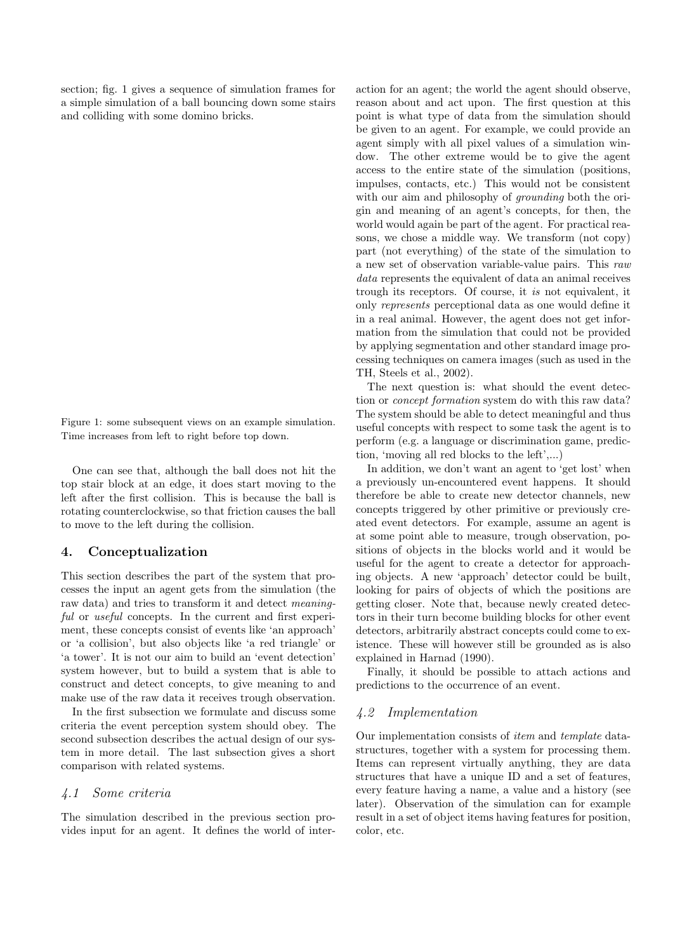section; fig. 1 gives a sequence of simulation frames for a simple simulation of a ball bouncing down some stairs and colliding with some domino bricks.

Figure 1: some subsequent views on an example simulation. Time increases from left to right before top down.

One can see that, although the ball does not hit the top stair block at an edge, it does start moving to the left after the first collision. This is because the ball is rotating counterclockwise, so that friction causes the ball to move to the left during the collision.

## 4. Conceptualization

This section describes the part of the system that processes the input an agent gets from the simulation (the raw data) and tries to transform it and detect meaningful or useful concepts. In the current and first experiment, these concepts consist of events like 'an approach' or 'a collision', but also objects like 'a red triangle' or 'a tower'. It is not our aim to build an 'event detection' system however, but to build a system that is able to construct and detect concepts, to give meaning to and make use of the raw data it receives trough observation.

In the first subsection we formulate and discuss some criteria the event perception system should obey. The second subsection describes the actual design of our system in more detail. The last subsection gives a short comparison with related systems.

#### 4.1 Some criteria

The simulation described in the previous section provides input for an agent. It defines the world of inter-

action for an agent; the world the agent should observe, reason about and act upon. The first question at this point is what type of data from the simulation should be given to an agent. For example, we could provide an agent simply with all pixel values of a simulation window. The other extreme would be to give the agent access to the entire state of the simulation (positions, impulses, contacts, etc.) This would not be consistent with our aim and philosophy of *grounding* both the origin and meaning of an agent's concepts, for then, the world would again be part of the agent. For practical reasons, we chose a middle way. We transform (not copy) part (not everything) of the state of the simulation to a new set of observation variable-value pairs. This raw data represents the equivalent of data an animal receives trough its receptors. Of course, it is not equivalent, it only represents perceptional data as one would define it in a real animal. However, the agent does not get information from the simulation that could not be provided by applying segmentation and other standard image processing techniques on camera images (such as used in the TH, Steels et al., 2002).

The next question is: what should the event detection or concept formation system do with this raw data? The system should be able to detect meaningful and thus useful concepts with respect to some task the agent is to perform (e.g. a language or discrimination game, prediction, 'moving all red blocks to the left',...)

In addition, we don't want an agent to 'get lost' when a previously un-encountered event happens. It should therefore be able to create new detector channels, new concepts triggered by other primitive or previously created event detectors. For example, assume an agent is at some point able to measure, trough observation, positions of objects in the blocks world and it would be useful for the agent to create a detector for approaching objects. A new 'approach' detector could be built, looking for pairs of objects of which the positions are getting closer. Note that, because newly created detectors in their turn become building blocks for other event detectors, arbitrarily abstract concepts could come to existence. These will however still be grounded as is also explained in Harnad (1990).

Finally, it should be possible to attach actions and predictions to the occurrence of an event.

#### 4.2 Implementation

Our implementation consists of item and template datastructures, together with a system for processing them. Items can represent virtually anything, they are data structures that have a unique ID and a set of features, every feature having a name, a value and a history (see later). Observation of the simulation can for example result in a set of object items having features for position, color, etc.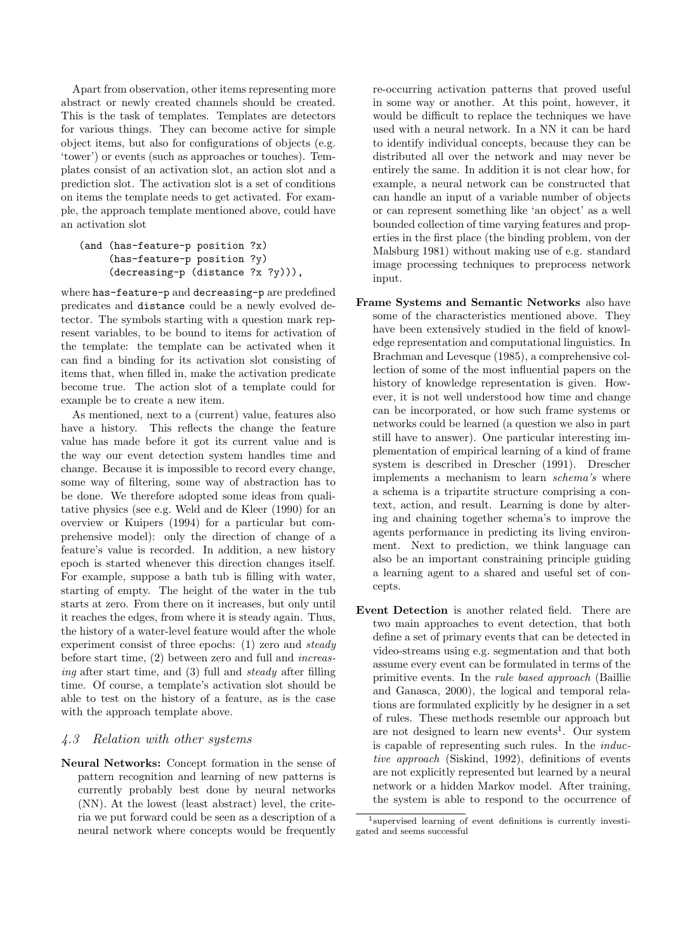Apart from observation, other items representing more abstract or newly created channels should be created. This is the task of templates. Templates are detectors for various things. They can become active for simple object items, but also for configurations of objects (e.g. 'tower') or events (such as approaches or touches). Templates consist of an activation slot, an action slot and a prediction slot. The activation slot is a set of conditions on items the template needs to get activated. For example, the approach template mentioned above, could have an activation slot

```
(and (has-feature-p position ?x)
     (has-feature-p position ?y)
     (decreasing-p (distance ?x ?y))),
```
where has-feature-p and decreasing-p are predefined predicates and distance could be a newly evolved detector. The symbols starting with a question mark represent variables, to be bound to items for activation of the template: the template can be activated when it can find a binding for its activation slot consisting of items that, when filled in, make the activation predicate become true. The action slot of a template could for example be to create a new item.

As mentioned, next to a (current) value, features also have a history. This reflects the change the feature value has made before it got its current value and is the way our event detection system handles time and change. Because it is impossible to record every change, some way of filtering, some way of abstraction has to be done. We therefore adopted some ideas from qualitative physics (see e.g. Weld and de Kleer (1990) for an overview or Kuipers (1994) for a particular but comprehensive model): only the direction of change of a feature's value is recorded. In addition, a new history epoch is started whenever this direction changes itself. For example, suppose a bath tub is filling with water, starting of empty. The height of the water in the tub starts at zero. From there on it increases, but only until it reaches the edges, from where it is steady again. Thus, the history of a water-level feature would after the whole experiment consist of three epochs: (1) zero and steady before start time, (2) between zero and full and increasing after start time, and (3) full and steady after filling time. Of course, a template's activation slot should be able to test on the history of a feature, as is the case with the approach template above.

# 4.3 Relation with other systems

Neural Networks: Concept formation in the sense of pattern recognition and learning of new patterns is currently probably best done by neural networks (NN). At the lowest (least abstract) level, the criteria we put forward could be seen as a description of a neural network where concepts would be frequently re-occurring activation patterns that proved useful in some way or another. At this point, however, it would be difficult to replace the techniques we have used with a neural network. In a NN it can be hard to identify individual concepts, because they can be distributed all over the network and may never be entirely the same. In addition it is not clear how, for example, a neural network can be constructed that can handle an input of a variable number of objects or can represent something like 'an object' as a well bounded collection of time varying features and properties in the first place (the binding problem, von der Malsburg 1981) without making use of e.g. standard image processing techniques to preprocess network input.

- Frame Systems and Semantic Networks also have some of the characteristics mentioned above. They have been extensively studied in the field of knowledge representation and computational linguistics. In Brachman and Levesque (1985), a comprehensive collection of some of the most influential papers on the history of knowledge representation is given. However, it is not well understood how time and change can be incorporated, or how such frame systems or networks could be learned (a question we also in part still have to answer). One particular interesting implementation of empirical learning of a kind of frame system is described in Drescher (1991). Drescher implements a mechanism to learn schema's where a schema is a tripartite structure comprising a context, action, and result. Learning is done by altering and chaining together schema's to improve the agents performance in predicting its living environment. Next to prediction, we think language can also be an important constraining principle guiding a learning agent to a shared and useful set of concepts.
- Event Detection is another related field. There are two main approaches to event detection, that both define a set of primary events that can be detected in video-streams using e.g. segmentation and that both assume every event can be formulated in terms of the primitive events. In the rule based approach (Baillie and Ganasca, 2000), the logical and temporal relations are formulated explicitly by he designer in a set of rules. These methods resemble our approach but are not designed to learn new events<sup>1</sup>. Our system is capable of representing such rules. In the inductive approach (Siskind, 1992), definitions of events are not explicitly represented but learned by a neural network or a hidden Markov model. After training, the system is able to respond to the occurrence of

<sup>1</sup> supervised learning of event definitions is currently investigated and seems successful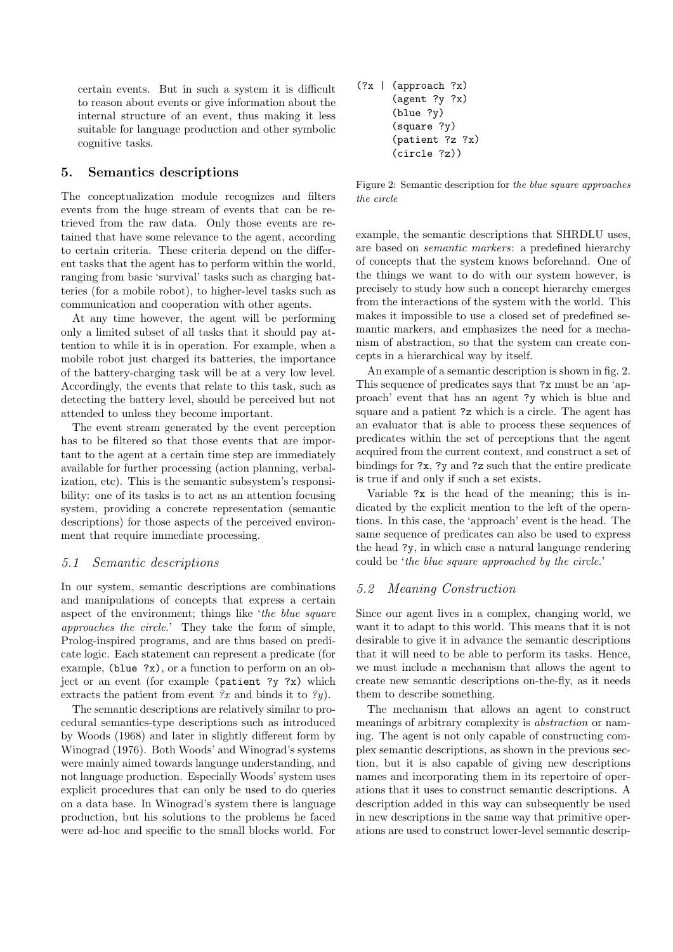certain events. But in such a system it is difficult to reason about events or give information about the internal structure of an event, thus making it less suitable for language production and other symbolic cognitive tasks.

#### 5. Semantics descriptions

The conceptualization module recognizes and filters events from the huge stream of events that can be retrieved from the raw data. Only those events are retained that have some relevance to the agent, according to certain criteria. These criteria depend on the different tasks that the agent has to perform within the world, ranging from basic 'survival' tasks such as charging batteries (for a mobile robot), to higher-level tasks such as communication and cooperation with other agents.

At any time however, the agent will be performing only a limited subset of all tasks that it should pay attention to while it is in operation. For example, when a mobile robot just charged its batteries, the importance of the battery-charging task will be at a very low level. Accordingly, the events that relate to this task, such as detecting the battery level, should be perceived but not attended to unless they become important.

The event stream generated by the event perception has to be filtered so that those events that are important to the agent at a certain time step are immediately available for further processing (action planning, verbalization, etc). This is the semantic subsystem's responsibility: one of its tasks is to act as an attention focusing system, providing a concrete representation (semantic descriptions) for those aspects of the perceived environment that require immediate processing.

#### 5.1 Semantic descriptions

In our system, semantic descriptions are combinations and manipulations of concepts that express a certain aspect of the environment; things like 'the blue square approaches the circle.' They take the form of simple, Prolog-inspired programs, and are thus based on predicate logic. Each statement can represent a predicate (for example, (blue ?x), or a function to perform on an object or an event (for example (patient ?y ?x) which extracts the patient from event  $\mathscr{X}x$  and binds it to  $\mathscr{Y}y$ ).

The semantic descriptions are relatively similar to procedural semantics-type descriptions such as introduced by Woods (1968) and later in slightly different form by Winograd (1976). Both Woods' and Winograd's systems were mainly aimed towards language understanding, and not language production. Especially Woods' system uses explicit procedures that can only be used to do queries on a data base. In Winograd's system there is language production, but his solutions to the problems he faced were ad-hoc and specific to the small blocks world. For (?x | (approach ?x) (agent ?y ?x) (blue ?y) (square ?y) (patient ?z ?x) (circle ?z))

Figure 2: Semantic description for the blue square approaches the circle

example, the semantic descriptions that SHRDLU uses, are based on semantic markers: a predefined hierarchy of concepts that the system knows beforehand. One of the things we want to do with our system however, is precisely to study how such a concept hierarchy emerges from the interactions of the system with the world. This makes it impossible to use a closed set of predefined semantic markers, and emphasizes the need for a mechanism of abstraction, so that the system can create concepts in a hierarchical way by itself.

An example of a semantic description is shown in fig. 2. This sequence of predicates says that ?x must be an 'approach' event that has an agent ?y which is blue and square and a patient ?z which is a circle. The agent has an evaluator that is able to process these sequences of predicates within the set of perceptions that the agent acquired from the current context, and construct a set of bindings for ?x, ?y and ?z such that the entire predicate is true if and only if such a set exists.

Variable ?x is the head of the meaning; this is indicated by the explicit mention to the left of the operations. In this case, the 'approach' event is the head. The same sequence of predicates can also be used to express the head ?y, in which case a natural language rendering could be 'the blue square approached by the circle.'

# 5.2 Meaning Construction

Since our agent lives in a complex, changing world, we want it to adapt to this world. This means that it is not desirable to give it in advance the semantic descriptions that it will need to be able to perform its tasks. Hence, we must include a mechanism that allows the agent to create new semantic descriptions on-the-fly, as it needs them to describe something.

The mechanism that allows an agent to construct meanings of arbitrary complexity is abstraction or naming. The agent is not only capable of constructing complex semantic descriptions, as shown in the previous section, but it is also capable of giving new descriptions names and incorporating them in its repertoire of operations that it uses to construct semantic descriptions. A description added in this way can subsequently be used in new descriptions in the same way that primitive operations are used to construct lower-level semantic descrip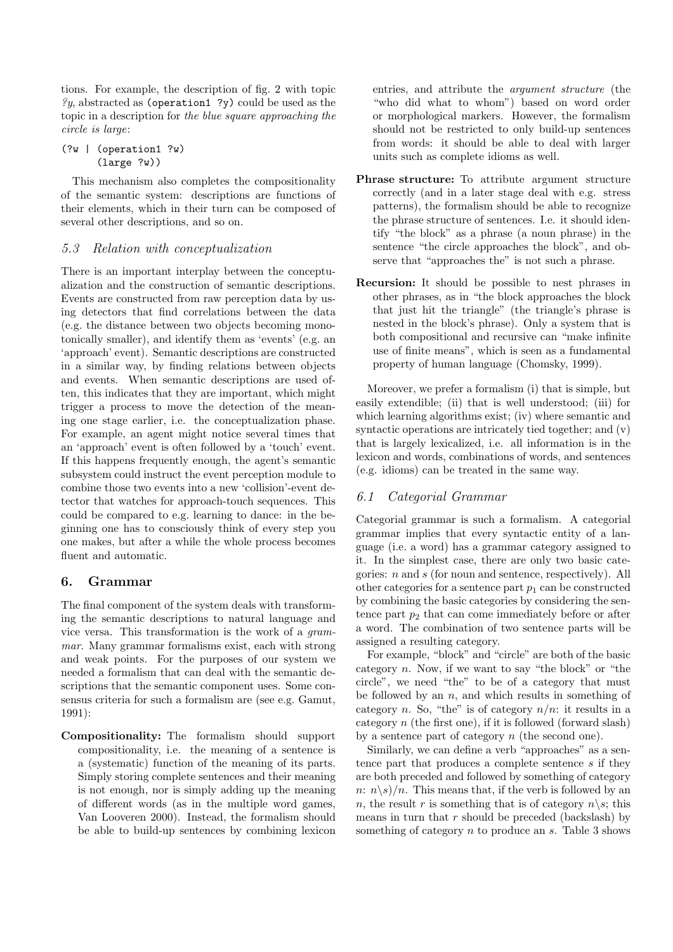tions. For example, the description of fig. 2 with topic  $\mathscr{C}y$ , abstracted as (operation1 ?y) could be used as the topic in a description for the blue square approaching the circle is large:

```
(?w | (operation1 ?w)
      (large ?w))
```
This mechanism also completes the compositionality of the semantic system: descriptions are functions of their elements, which in their turn can be composed of several other descriptions, and so on.

# 5.3 Relation with conceptualization

There is an important interplay between the conceptualization and the construction of semantic descriptions. Events are constructed from raw perception data by using detectors that find correlations between the data (e.g. the distance between two objects becoming monotonically smaller), and identify them as 'events' (e.g. an 'approach' event). Semantic descriptions are constructed in a similar way, by finding relations between objects and events. When semantic descriptions are used often, this indicates that they are important, which might trigger a process to move the detection of the meaning one stage earlier, i.e. the conceptualization phase. For example, an agent might notice several times that an 'approach' event is often followed by a 'touch' event. If this happens frequently enough, the agent's semantic subsystem could instruct the event perception module to combine those two events into a new 'collision'-event detector that watches for approach-touch sequences. This could be compared to e.g. learning to dance: in the beginning one has to consciously think of every step you one makes, but after a while the whole process becomes fluent and automatic.

# 6. Grammar

The final component of the system deals with transforming the semantic descriptions to natural language and vice versa. This transformation is the work of a grammar. Many grammar formalisms exist, each with strong and weak points. For the purposes of our system we needed a formalism that can deal with the semantic descriptions that the semantic component uses. Some consensus criteria for such a formalism are (see e.g. Gamut, 1991):

Compositionality: The formalism should support compositionality, i.e. the meaning of a sentence is a (systematic) function of the meaning of its parts. Simply storing complete sentences and their meaning is not enough, nor is simply adding up the meaning of different words (as in the multiple word games, Van Looveren 2000). Instead, the formalism should be able to build-up sentences by combining lexicon entries, and attribute the argument structure (the "who did what to whom") based on word order or morphological markers. However, the formalism should not be restricted to only build-up sentences from words: it should be able to deal with larger units such as complete idioms as well.

- Phrase structure: To attribute argument structure correctly (and in a later stage deal with e.g. stress patterns), the formalism should be able to recognize the phrase structure of sentences. I.e. it should identify "the block" as a phrase (a noun phrase) in the sentence "the circle approaches the block", and observe that "approaches the" is not such a phrase.
- Recursion: It should be possible to nest phrases in other phrases, as in "the block approaches the block that just hit the triangle" (the triangle's phrase is nested in the block's phrase). Only a system that is both compositional and recursive can "make infinite use of finite means", which is seen as a fundamental property of human language (Chomsky, 1999).

Moreover, we prefer a formalism (i) that is simple, but easily extendible; (ii) that is well understood; (iii) for which learning algorithms exist; (iv) where semantic and syntactic operations are intricately tied together; and (v) that is largely lexicalized, i.e. all information is in the lexicon and words, combinations of words, and sentences (e.g. idioms) can be treated in the same way.

# 6.1 Categorial Grammar

Categorial grammar is such a formalism. A categorial grammar implies that every syntactic entity of a language (i.e. a word) has a grammar category assigned to it. In the simplest case, there are only two basic categories:  $n$  and  $s$  (for noun and sentence, respectively). All other categories for a sentence part  $p_1$  can be constructed by combining the basic categories by considering the sentence part  $p_2$  that can come immediately before or after a word. The combination of two sentence parts will be assigned a resulting category.

For example, "block" and "circle" are both of the basic category  $n$ . Now, if we want to say "the block" or "the circle", we need "the" to be of a category that must be followed by an  $n$ , and which results in something of category n. So, "the" is of category  $n/n$ : it results in a category  $n$  (the first one), if it is followed (forward slash) by a sentence part of category  $n$  (the second one).

Similarly, we can define a verb "approaches" as a sentence part that produces a complete sentence s if they are both preceded and followed by something of category  $n: n\geq s$ /n. This means that, if the verb is followed by an n, the result r is something that is of category  $n \gtrsim s$ ; this means in turn that  $r$  should be preceded (backslash) by something of category  $n$  to produce an  $s$ . Table 3 shows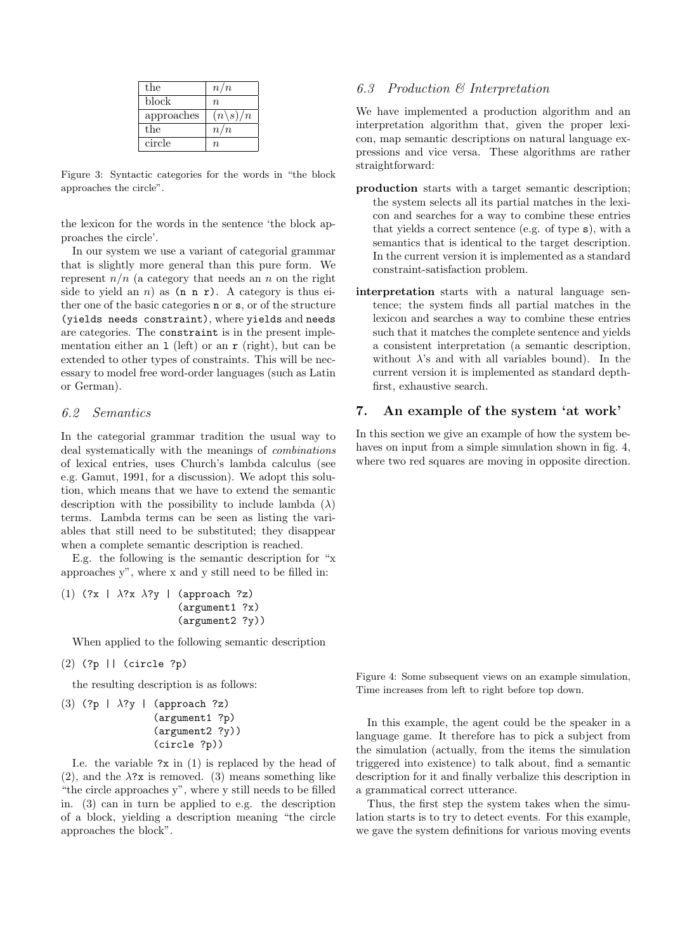| the        | n/n                 |
|------------|---------------------|
| block      | $\eta$              |
| approaches | $(n\backslash s)/n$ |
| the        | n/n                 |
| circle     | $\eta$              |

Figure 3: Syntactic categories for the words in "the block approaches the circle".

the lexicon for the words in the sentence 'the block approaches the circle'.

In our system we use a variant of categorial grammar that is slightly more general than this pure form. We represent  $n/n$  (a category that needs an n on the right side to yield an n) as  $(n n r)$ . A category is thus either one of the basic categories n or s, or of the structure (yields needs constraint), where yields and needs are categories. The constraint is in the present implementation either an  $1$  (left) or an  $r$  (right), but can be extended to other types of constraints. This will be necessary to model free word-order languages (such as Latin or German).

# 6.2 Semantics

In the categorial grammar tradition the usual way to deal systematically with the meanings of combinations of lexical entries, uses Church's lambda calculus (see e.g. Gamut, 1991, for a discussion). We adopt this solution, which means that we have to extend the semantic description with the possibility to include lambda  $(\lambda)$ terms. Lambda terms can be seen as listing the variables that still need to be substituted; they disappear when a complete semantic description is reached.

E.g. the following is the semantic description for "x approaches y", where x and y still need to be filled in:

```
(1) (?x | \lambda?x \lambda?y | (approach ?z)(argument1 ?x)
                        (argument2 ?y))
```
When applied to the following semantic description

(2) (?p || (circle ?p)

the resulting description is as follows:

(3) (?p |  $\lambda$ ?y | (approach ?z) (argument1 ?p) (argument2 ?y)) (circle ?p))

I.e. the variable  $?x$  in  $(1)$  is replaced by the head of (2), and the  $\lambda$ ?x is removed. (3) means something like "the circle approaches y", where y still needs to be filled in. (3) can in turn be applied to e.g. the description of a block, yielding a description meaning "the circle approaches the block".

# 6.3 Production & Interpretation

We have implemented a production algorithm and an interpretation algorithm that, given the proper lexicon, map semantic descriptions on natural language expressions and vice versa. These algorithms are rather straightforward:

- production starts with a target semantic description; the system selects all its partial matches in the lexicon and searches for a way to combine these entries that yields a correct sentence (e.g. of type s), with a semantics that is identical to the target description. In the current version it is implemented as a standard constraint-satisfaction problem.
- interpretation starts with a natural language sentence; the system finds all partial matches in the lexicon and searches a way to combine these entries such that it matches the complete sentence and yields a consistent interpretation (a semantic description, without  $\lambda$ 's and with all variables bound). In the current version it is implemented as standard depthfirst, exhaustive search.

# 7. An example of the system 'at work'

In this section we give an example of how the system behaves on input from a simple simulation shown in fig. 4, where two red squares are moving in opposite direction.

Figure 4: Some subsequent views on an example simulation, Time increases from left to right before top down.

In this example, the agent could be the speaker in a language game. It therefore has to pick a subject from the simulation (actually, from the items the simulation triggered into existence) to talk about, find a semantic description for it and finally verbalize this description in a grammatical correct utterance.

Thus, the first step the system takes when the simulation starts is to try to detect events. For this example, we gave the system definitions for various moving events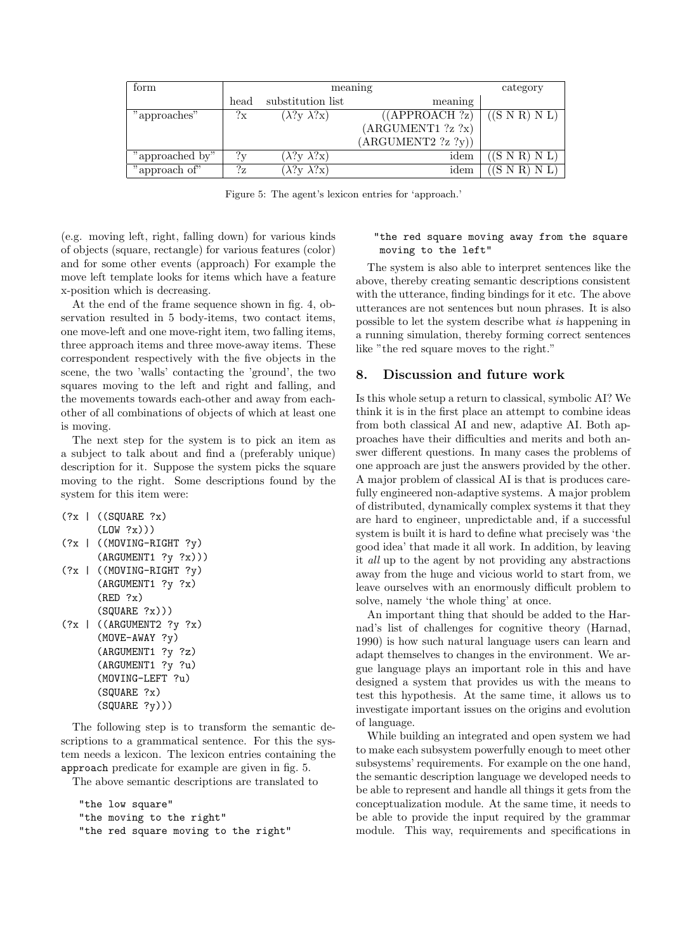| form            | meaning |                             | category           |                         |
|-----------------|---------|-----------------------------|--------------------|-------------------------|
|                 | head    | substitution list           | meaning            |                         |
| "approaches"    | ?x      | $(\lambda$ ?y $\lambda$ ?x) | ((APPROACH ?z)     | $((S \ N \ R) \ N \ L)$ |
|                 |         |                             | (ARGUMENT1 ?z ?x)  |                         |
|                 |         |                             | (ARGUMENT2 ?z ?y)) |                         |
| "approached by" | 2v      | $(\lambda$ ?y $\lambda$ ?x) | idem               | $($ SNR $)$ NL $)$      |
| "approach of"   | $?_{Z}$ | $(\lambda$ ?y $\lambda$ ?x) | idem               | $(S \ N R) N L$         |

Figure 5: The agent's lexicon entries for 'approach.'

(e.g. moving left, right, falling down) for various kinds of objects (square, rectangle) for various features (color) and for some other events (approach) For example the move left template looks for items which have a feature x-position which is decreasing.

At the end of the frame sequence shown in fig. 4, observation resulted in 5 body-items, two contact items, one move-left and one move-right item, two falling items, three approach items and three move-away items. These correspondent respectively with the five objects in the scene, the two 'walls' contacting the 'ground', the two squares moving to the left and right and falling, and the movements towards each-other and away from eachother of all combinations of objects of which at least one is moving.

The next step for the system is to pick an item as a subject to talk about and find a (preferably unique) description for it. Suppose the system picks the square moving to the right. Some descriptions found by the system for this item were:

```
(?x \mid ((SQUARE ?x))(LOW ?x))(?x | ((MOVING-RIGHT ?y)
      (ARGUMENT1 ?y ?x)))
(?x | ((MOVING-RIGHT ?y)
      (ARGUMENT1 ?y ?x)
      (RED ?x)
      (SQUARE ?x)))
(?x | ((ARGUMENT2 ?y ?x))(MOVE-AWAY ?y)
      (ARGUMENT1 ?y ?z)
      (ARGUMENT1 ?y ?u)
      (MOVING-LEFT ?u)
      (SQUARE ?x)
      (SQUARE ?y)))
```
The following step is to transform the semantic descriptions to a grammatical sentence. For this the system needs a lexicon. The lexicon entries containing the approach predicate for example are given in fig. 5.

The above semantic descriptions are translated to

```
"the low square"
"the moving to the right"
"the red square moving to the right"
```
"the red square moving away from the square moving to the left"

The system is also able to interpret sentences like the above, thereby creating semantic descriptions consistent with the utterance, finding bindings for it etc. The above utterances are not sentences but noun phrases. It is also possible to let the system describe what is happening in a running simulation, thereby forming correct sentences like "the red square moves to the right."

#### 8. Discussion and future work

Is this whole setup a return to classical, symbolic AI? We think it is in the first place an attempt to combine ideas from both classical AI and new, adaptive AI. Both approaches have their difficulties and merits and both answer different questions. In many cases the problems of one approach are just the answers provided by the other. A major problem of classical AI is that is produces carefully engineered non-adaptive systems. A major problem of distributed, dynamically complex systems it that they are hard to engineer, unpredictable and, if a successful system is built it is hard to define what precisely was 'the good idea' that made it all work. In addition, by leaving it all up to the agent by not providing any abstractions away from the huge and vicious world to start from, we leave ourselves with an enormously difficult problem to solve, namely 'the whole thing' at once.

An important thing that should be added to the Harnad's list of challenges for cognitive theory (Harnad, 1990) is how such natural language users can learn and adapt themselves to changes in the environment. We argue language plays an important role in this and have designed a system that provides us with the means to test this hypothesis. At the same time, it allows us to investigate important issues on the origins and evolution of language.

While building an integrated and open system we had to make each subsystem powerfully enough to meet other subsystems' requirements. For example on the one hand, the semantic description language we developed needs to be able to represent and handle all things it gets from the conceptualization module. At the same time, it needs to be able to provide the input required by the grammar module. This way, requirements and specifications in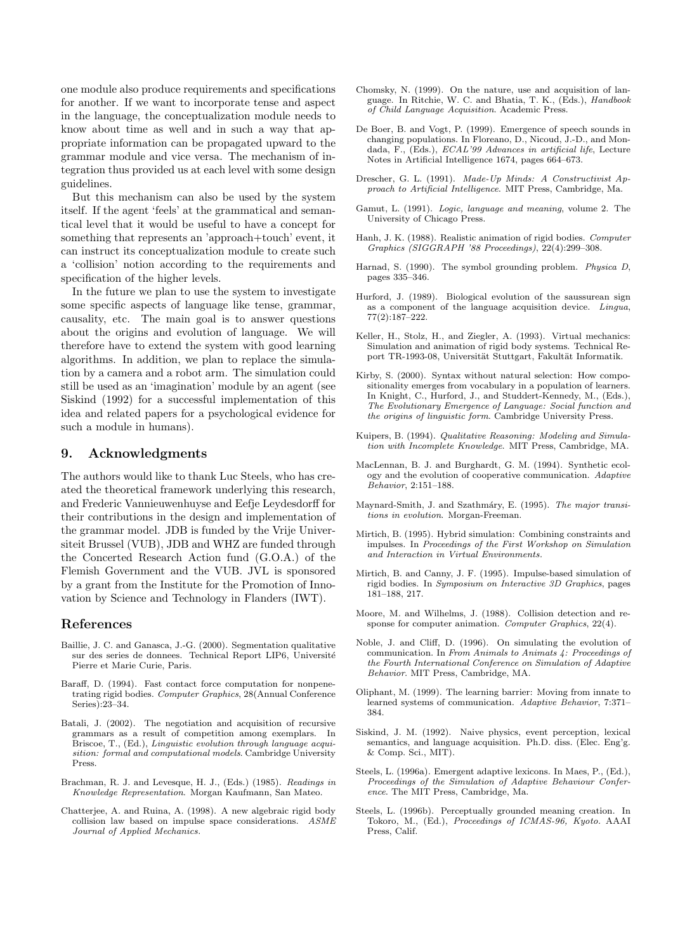one module also produce requirements and specifications for another. If we want to incorporate tense and aspect in the language, the conceptualization module needs to know about time as well and in such a way that appropriate information can be propagated upward to the grammar module and vice versa. The mechanism of integration thus provided us at each level with some design guidelines.

But this mechanism can also be used by the system itself. If the agent 'feels' at the grammatical and semantical level that it would be useful to have a concept for something that represents an 'approach+touch' event, it can instruct its conceptualization module to create such a 'collision' notion according to the requirements and specification of the higher levels.

In the future we plan to use the system to investigate some specific aspects of language like tense, grammar, causality, etc. The main goal is to answer questions about the origins and evolution of language. We will therefore have to extend the system with good learning algorithms. In addition, we plan to replace the simulation by a camera and a robot arm. The simulation could still be used as an 'imagination' module by an agent (see Siskind (1992) for a successful implementation of this idea and related papers for a psychological evidence for such a module in humans).

#### 9. Acknowledgments

The authors would like to thank Luc Steels, who has created the theoretical framework underlying this research, and Frederic Vannieuwenhuyse and Eefje Leydesdorff for their contributions in the design and implementation of the grammar model. JDB is funded by the Vrije Universiteit Brussel (VUB), JDB and WHZ are funded through the Concerted Research Action fund (G.O.A.) of the Flemish Government and the VUB. JVL is sponsored by a grant from the Institute for the Promotion of Innovation by Science and Technology in Flanders (IWT).

#### References

- Baillie, J. C. and Ganasca, J.-G. (2000). Segmentation qualitative sur des series de donnees. Technical Report LIP6, Université Pierre et Marie Curie, Paris.
- Baraff, D. (1994). Fast contact force computation for nonpenetrating rigid bodies. Computer Graphics, 28(Annual Conference Series):23–34.
- Batali, J. (2002). The negotiation and acquisition of recursive grammars as a result of competition among exemplars. In Briscoe, T., (Ed.), *Linguistic evolution through language acqui*sition: formal and computational models. Cambridge University Press.
- Brachman, R. J. and Levesque, H. J., (Eds.) (1985). Readings in Knowledge Representation. Morgan Kaufmann, San Mateo.
- Chatterjee, A. and Ruina, A. (1998). A new algebraic rigid body collision law based on impulse space considerations. ASME Journal of Applied Mechanics.
- Chomsky, N. (1999). On the nature, use and acquisition of language. In Ritchie, W. C. and Bhatia, T. K., (Eds.), Handbook of Child Language Acquisition. Academic Press.
- De Boer, B. and Vogt, P. (1999). Emergence of speech sounds in changing populations. In Floreano, D., Nicoud, J.-D., and Mondada, F., (Eds.), ECAL'99 Advances in artificial life, Lecture Notes in Artificial Intelligence 1674, pages 664–673.
- Drescher, G. L. (1991). Made-Up Minds: A Constructivist Approach to Artificial Intelligence. MIT Press, Cambridge, Ma.
- Gamut, L. (1991). Logic, language and meaning, volume 2. The University of Chicago Press.
- Hanh, J. K. (1988). Realistic animation of rigid bodies. Computer Graphics (SIGGRAPH '88 Proceedings), 22(4):299–308.
- Harnad, S. (1990). The symbol grounding problem. Physica D, pages 335–346.
- Hurford, J. (1989). Biological evolution of the saussurean sign as a component of the language acquisition device. Lingua, 77(2):187–222.
- Keller, H., Stolz, H., and Ziegler, A. (1993). Virtual mechanics: Simulation and animation of rigid body systems. Technical Report TR-1993-08, Universität Stuttgart, Fakultät Informatik.
- Kirby, S. (2000). Syntax without natural selection: How compositionality emerges from vocabulary in a population of learners. In Knight, C., Hurford, J., and Studdert-Kennedy, M., (Eds.), The Evolutionary Emergence of Language: Social function and the origins of linguistic form. Cambridge University Press.
- Kuipers, B. (1994). Qualitative Reasoning: Modeling and Simulation with Incomplete Knowledge. MIT Press, Cambridge, MA.
- MacLennan, B. J. and Burghardt, G. M. (1994). Synthetic ecology and the evolution of cooperative communication. Adaptive Behavior, 2:151–188.
- Maynard-Smith, J. and Szathmáry, E. (1995). The major transitions in evolution. Morgan-Freeman.
- Mirtich, B. (1995). Hybrid simulation: Combining constraints and impulses. In Proceedings of the First Workshop on Simulation and Interaction in Virtual Environments.
- Mirtich, B. and Canny, J. F. (1995). Impulse-based simulation of rigid bodies. In Symposium on Interactive 3D Graphics, pages 181–188, 217.
- Moore, M. and Wilhelms, J. (1988). Collision detection and response for computer animation. Computer Graphics, 22(4).
- Noble, J. and Cliff, D. (1996). On simulating the evolution of communication. In From Animals to Animats 4: Proceedings of the Fourth International Conference on Simulation of Adaptive Behavior. MIT Press, Cambridge, MA.
- Oliphant, M. (1999). The learning barrier: Moving from innate to learned systems of communication. Adaptive Behavior, 7:371– 384.
- Siskind, J. M. (1992). Naive physics, event perception, lexical semantics, and language acquisition. Ph.D. diss. (Elec. Eng'g. & Comp. Sci., MIT).
- Steels, L. (1996a). Emergent adaptive lexicons. In Maes, P., (Ed.), Proceedings of the Simulation of Adaptive Behaviour Conference. The MIT Press, Cambridge, Ma.
- Steels, L. (1996b). Perceptually grounded meaning creation. In Tokoro, M., (Ed.), Proceedings of ICMAS-96, Kyoto. AAAI Press, Calif.